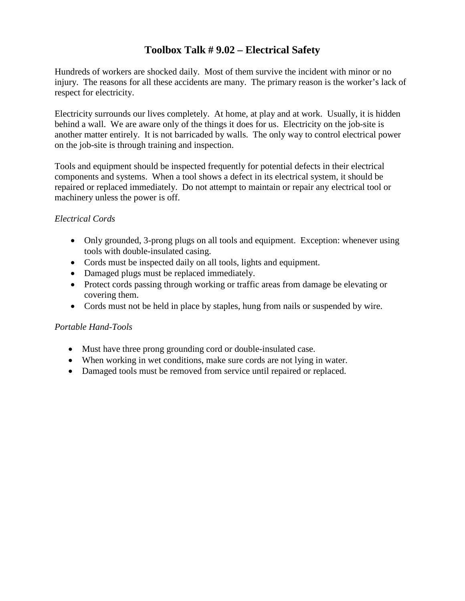#### **Toolbox Talk # 9.02 – Electrical Safety**

Hundreds of workers are shocked daily. Most of them survive the incident with minor or no injury. The reasons for all these accidents are many. The primary reason is the worker's lack of respect for electricity.

Electricity surrounds our lives completely. At home, at play and at work. Usually, it is hidden behind a wall. We are aware only of the things it does for us. Electricity on the job-site is another matter entirely. It is not barricaded by walls. The only way to control electrical power on the job-site is through training and inspection.

Tools and equipment should be inspected frequently for potential defects in their electrical components and systems. When a tool shows a defect in its electrical system, it should be repaired or replaced immediately. Do not attempt to maintain or repair any electrical tool or machinery unless the power is off.

#### *Electrical Cords*

- Only grounded, 3-prong plugs on all tools and equipment. Exception: whenever using tools with double-insulated casing.
- Cords must be inspected daily on all tools, lights and equipment.
- Damaged plugs must be replaced immediately.
- Protect cords passing through working or traffic areas from damage be elevating or covering them.
- Cords must not be held in place by staples, hung from nails or suspended by wire.

#### *Portable Hand-Tools*

- Must have three prong grounding cord or double-insulated case.
- When working in wet conditions, make sure cords are not lying in water.
- Damaged tools must be removed from service until repaired or replaced.